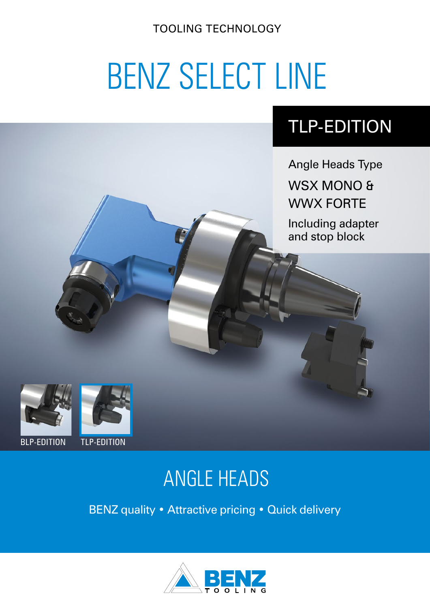TOOLING TECHNOLOGY

# BENZ SELECT LINE

## TLP-EDITION

Angle Heads Type

WSX MONO & WWX FORTE

Including adapter and stop block





### BLP-EDITION TLP-EDITION

# ANGLE HEADS

BENZ quality • Attractive pricing • Quick delivery